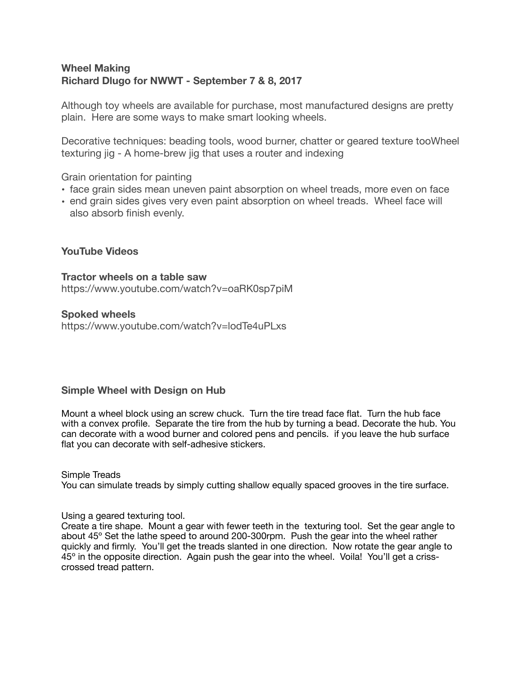# **Wheel Making Richard Dlugo for NWWT - September 7 & 8, 2017**

Although toy wheels are available for purchase, most manufactured designs are pretty plain. Here are some ways to make smart looking wheels.

Decorative techniques: beading tools, wood burner, chatter or geared texture tooWheel texturing jig - A home-brew jig that uses a router and indexing

Grain orientation for painting

- face grain sides mean uneven paint absorption on wheel treads, more even on face
- end grain sides gives very even paint absorption on wheel treads. Wheel face will also absorb finish evenly.

## **YouTube Videos**

#### **Tractor wheels on a table saw**

https://www.youtube.com/watch?v=oaRK0sp7piM

#### **Spoked wheels**

https://www.youtube.com/watch?v=lodTe4uPLxs

## **Simple Wheel with Design on Hub**

Mount a wheel block using an screw chuck. Turn the tire tread face flat. Turn the hub face with a convex profile. Separate the tire from the hub by turning a bead. Decorate the hub. You can decorate with a wood burner and colored pens and pencils. if you leave the hub surface flat you can decorate with self-adhesive stickers.

#### Simple Treads

You can simulate treads by simply cutting shallow equally spaced grooves in the tire surface.

#### Using a geared texturing tool.

Create a tire shape. Mount a gear with fewer teeth in the texturing tool. Set the gear angle to about 45º Set the lathe speed to around 200-300rpm. Push the gear into the wheel rather quickly and firmly. You'll get the treads slanted in one direction. Now rotate the gear angle to 45º in the opposite direction. Again push the gear into the wheel. Voila! You'll get a crisscrossed tread pattern.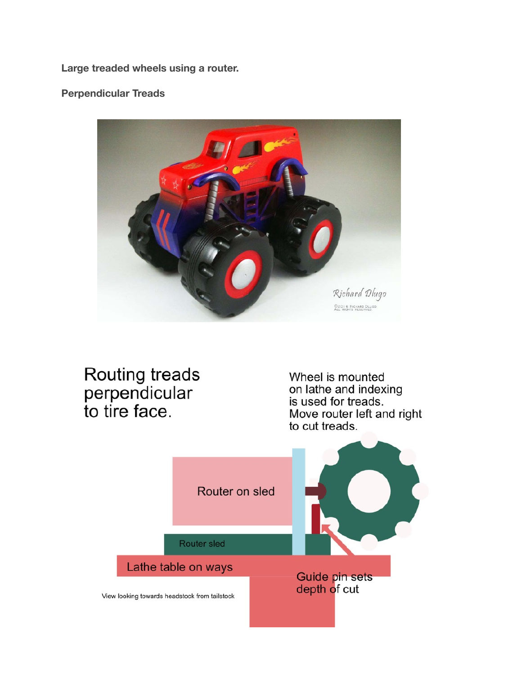**Large treaded wheels using a router.** 

**Perpendicular Treads**



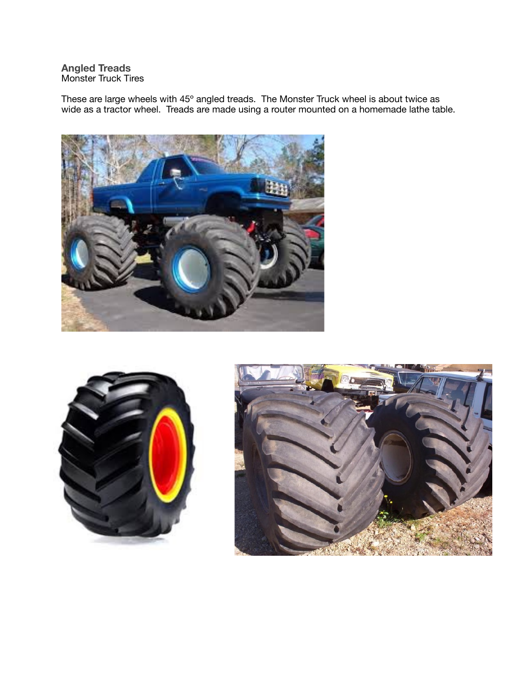**Angled Treads**  Monster Truck Tires

These are large wheels with 45° angled treads. The Monster Truck wheel is about twice as wide as a tractor wheel. Treads are made using a router mounted on a homemade lathe table.





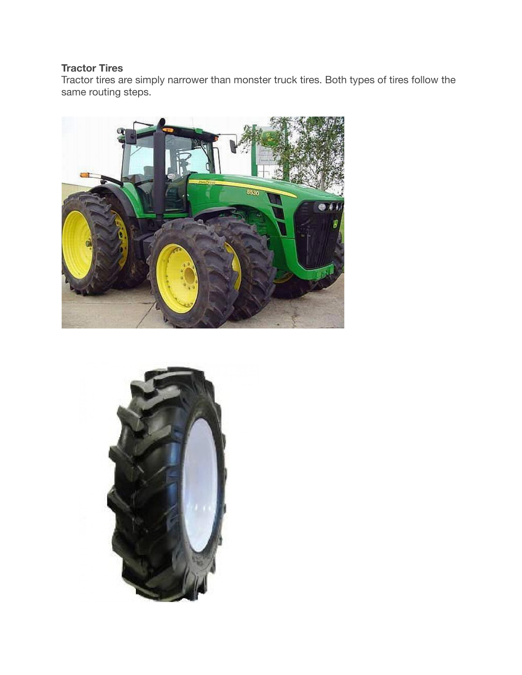# **Tractor Tires**

Tractor tires are simply narrower than monster truck tires. Both types of tires follow the same routing steps.



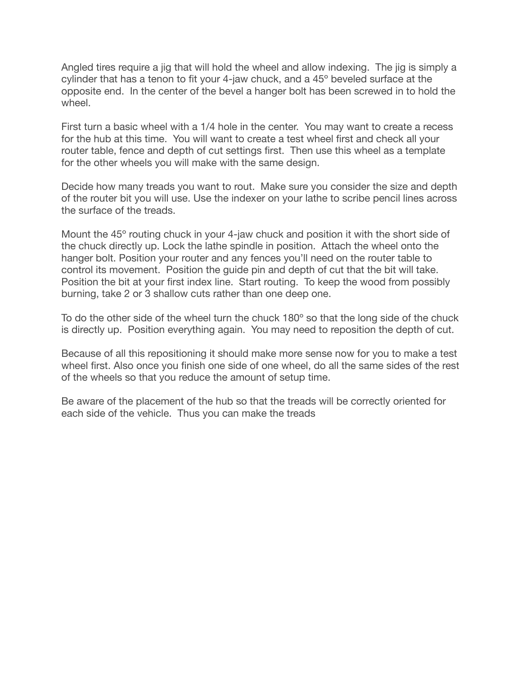Angled tires require a jig that will hold the wheel and allow indexing. The jig is simply a cylinder that has a tenon to fit your 4-jaw chuck, and a 45º beveled surface at the opposite end. In the center of the bevel a hanger bolt has been screwed in to hold the wheel.

First turn a basic wheel with a 1/4 hole in the center. You may want to create a recess for the hub at this time. You will want to create a test wheel first and check all your router table, fence and depth of cut settings first. Then use this wheel as a template for the other wheels you will make with the same design.

Decide how many treads you want to rout. Make sure you consider the size and depth of the router bit you will use. Use the indexer on your lathe to scribe pencil lines across the surface of the treads.

Mount the 45º routing chuck in your 4-jaw chuck and position it with the short side of the chuck directly up. Lock the lathe spindle in position. Attach the wheel onto the hanger bolt. Position your router and any fences you'll need on the router table to control its movement. Position the guide pin and depth of cut that the bit will take. Position the bit at your first index line. Start routing. To keep the wood from possibly burning, take 2 or 3 shallow cuts rather than one deep one.

To do the other side of the wheel turn the chuck 180º so that the long side of the chuck is directly up. Position everything again. You may need to reposition the depth of cut.

Because of all this repositioning it should make more sense now for you to make a test wheel first. Also once you finish one side of one wheel, do all the same sides of the rest of the wheels so that you reduce the amount of setup time.

Be aware of the placement of the hub so that the treads will be correctly oriented for each side of the vehicle. Thus you can make the treads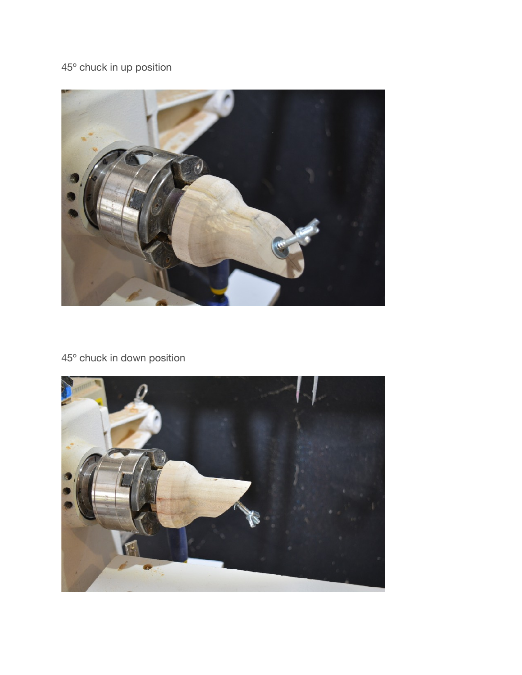

45º chuck in down position



45º chuck in up position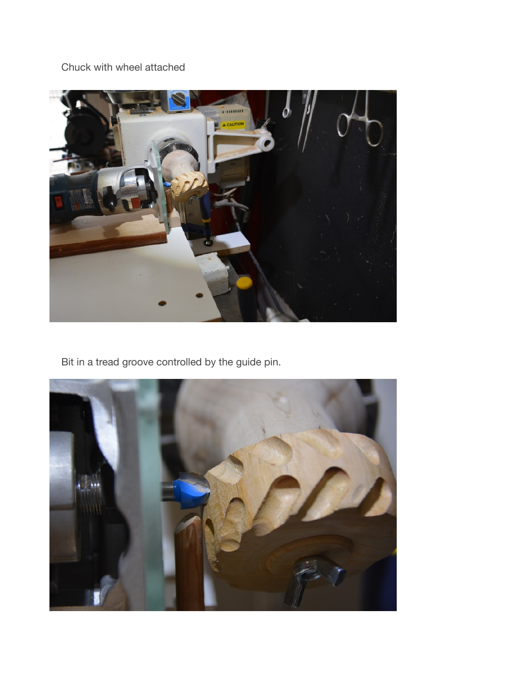Chuck with wheel attached



Bit in a tread groove controlled by the guide pin.

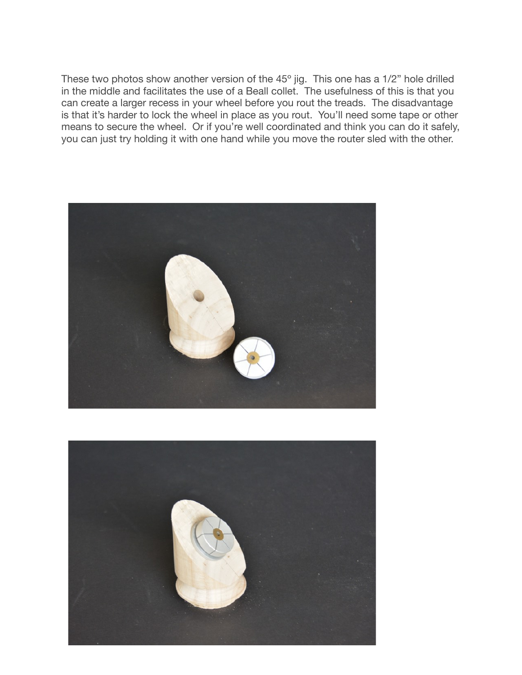These two photos show another version of the 45º jig. This one has a 1/2" hole drilled in the middle and facilitates the use of a Beall collet. The usefulness of this is that you can create a larger recess in your wheel before you rout the treads. The disadvantage is that it's harder to lock the wheel in place as you rout. You'll need some tape or other means to secure the wheel. Or if you're well coordinated and think you can do it safely, you can just try holding it with one hand while you move the router sled with the other.



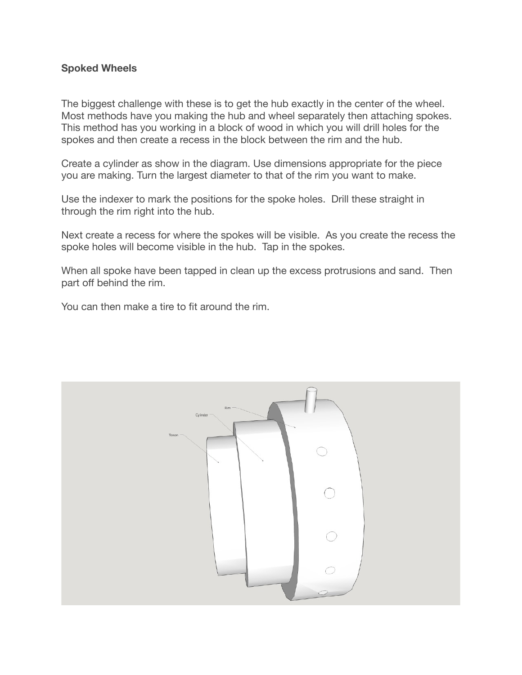## **Spoked Wheels**

The biggest challenge with these is to get the hub exactly in the center of the wheel. Most methods have you making the hub and wheel separately then attaching spokes. This method has you working in a block of wood in which you will drill holes for the spokes and then create a recess in the block between the rim and the hub.

Create a cylinder as show in the diagram. Use dimensions appropriate for the piece you are making. Turn the largest diameter to that of the rim you want to make.

Use the indexer to mark the positions for the spoke holes. Drill these straight in through the rim right into the hub.

Next create a recess for where the spokes will be visible. As you create the recess the spoke holes will become visible in the hub. Tap in the spokes.

When all spoke have been tapped in clean up the excess protrusions and sand. Then part off behind the rim.

You can then make a tire to fit around the rim.